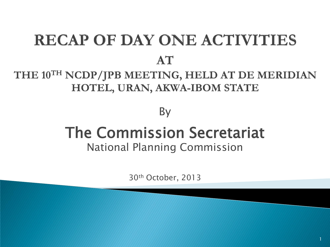## **RECAP OF DAY ONE ACTIVITIES** AT

#### THE 10<sup>TH</sup> NCDP/JPB MEETING, HELD AT DE MERIDIAN HOTEL, URAN, AKWA-IBOM STATE

#### By

### The Commission Secretariat National Planning Commission

30th October, 2013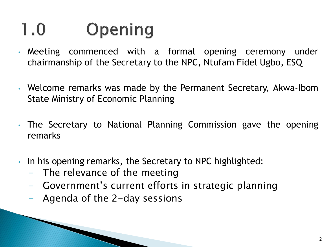#### $1.0$ Opening

- Meeting commenced with a formal opening ceremony under chairmanship of the Secretary to the NPC, Ntufam Fidel Ugbo, ESQ
- Welcome remarks was made by the Permanent Secretary, Akwa-Ibom State Ministry of Economic Planning
- The Secretary to National Planning Commission gave the opening remarks
- In his opening remarks, the Secretary to NPC highlighted:
	- The relevance of the meeting
	- Government's current efforts in strategic planning
	- Agenda of the 2-day sessions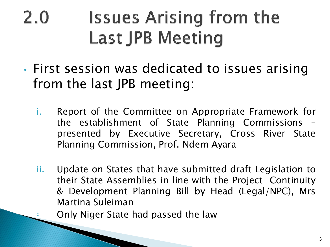### **Issues Arising from the**  $2.0$ **Last JPB Meeting**

- First session was dedicated to issues arising from the last JPB meeting:
	- i. Report of the Committee on Appropriate Framework for the establishment of State Planning Commissions – presented by Executive Secretary, Cross River State Planning Commission, Prof. Ndem Ayara
	- ii. Update on States that have submitted draft Legislation to their State Assemblies in line with the Project Continuity & Development Planning Bill by Head (Legal/NPC), Mrs Martina Suleiman

Only Niger State had passed the law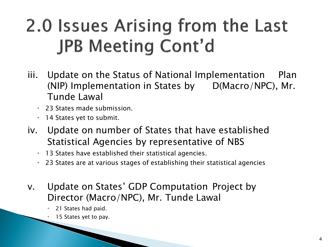## 2.0 Issues Arising from the Last **JPB Meeting Cont'd**

- iii. Update on the Status of National Implementation Plan (NIP) Implementation in States by D(Macro/NPC), Mr. Tunde Lawal
	- 23 States made submission.
	- 14 States yet to submit.
- iv. Update on number of States that have established Statistical Agencies by representative of NBS
	- 13 States have established their statistical agencies.
	- 23 States are at various stages of establishing their statistical agencies
- v. Update on States' GDP Computation Project by Director (Macro/NPC), Mr. Tunde Lawal
	- 21 States had paid.
	- 15 States yet to pay.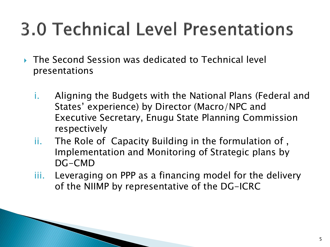# **3.0 Technical Level Presentations**

- The Second Session was dedicated to Technical level presentations
	- i. Aligning the Budgets with the National Plans (Federal and States' experience) by Director (Macro/NPC and Executive Secretary, Enugu State Planning Commission respectively
	- ii. The Role of Capacity Building in the formulation of , Implementation and Monitoring of Strategic plans by DG-CMD
	- iii. Leveraging on PPP as a financing model for the delivery of the NIIMP by representative of the DG-ICRC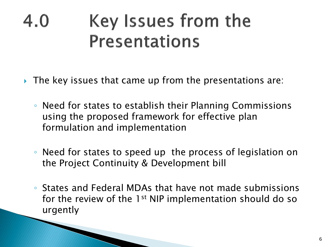#### Key Issues from the 4.0 **Presentations**

- ▶ The key issues that came up from the presentations are:
	- Need for states to establish their Planning Commissions using the proposed framework for effective plan formulation and implementation
	- Need for states to speed up the process of legislation on the Project Continuity & Development bill
	- States and Federal MDAs that have not made submissions for the review of the 1<sup>st</sup> NIP implementation should do so urgently